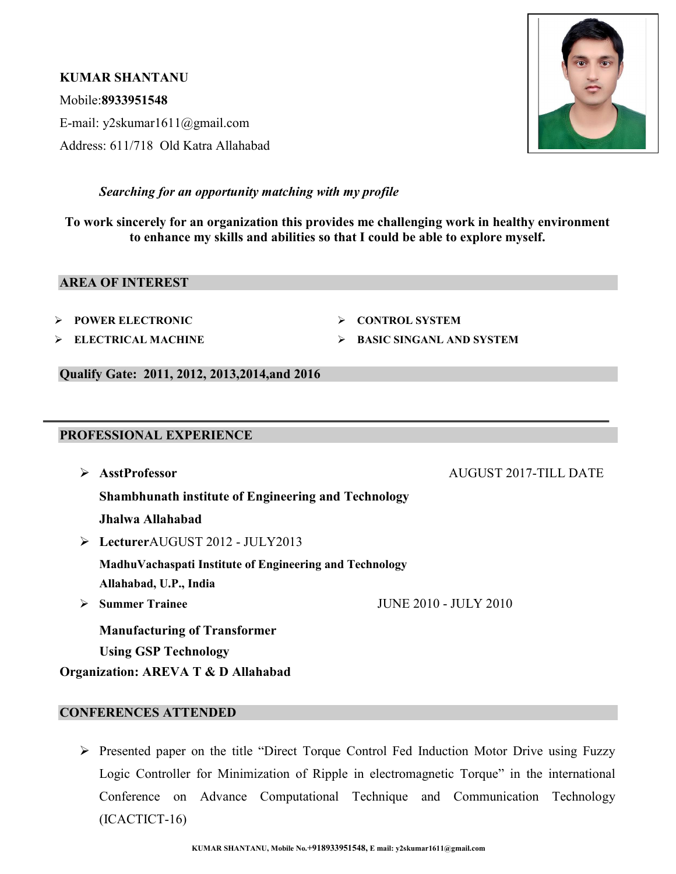KUMAR SHANTANU Mobile:8933951548 E-mail: y2skumar1611@gmail.com Address: 611/718 Old Katra Allahabad



# Searching for an opportunity matching with my profile

To work sincerely for an organization this provides me challenging work in healthy environment to enhance my skills and abilities so that I could be able to explore myself.

#### AREA OF INTEREST

- POWER ELECTRONIC
- ELECTRICAL MACHINE

CONTROL SYSTEM

BASIC SINGANL AND SYSTEM

Qualify Gate: 2011, 2012, 2013,2014,and 2016

# PROFESSIONAL EXPERIENCE

 AsstProfessor AUGUST 2017-TILL DATE Shambhunath institute of Engineering and Technology Jhalwa Allahabad LecturerAUGUST 2012 - JULY2013 MadhuVachaspati Institute of Engineering and Technology

Allahabad, U.P., India

 $\geq$  Summer Trainee JUNE 2010 - JULY 2010

Manufacturing of Transformer Using GSP Technology

Organization: AREVA T & D Allahabad

# CONFERENCES ATTENDED

 Presented paper on the title "Direct Torque Control Fed Induction Motor Drive using Fuzzy Logic Controller for Minimization of Ripple in electromagnetic Torque" in the international Conference on Advance Computational Technique and Communication Technology (ICACTICT-16)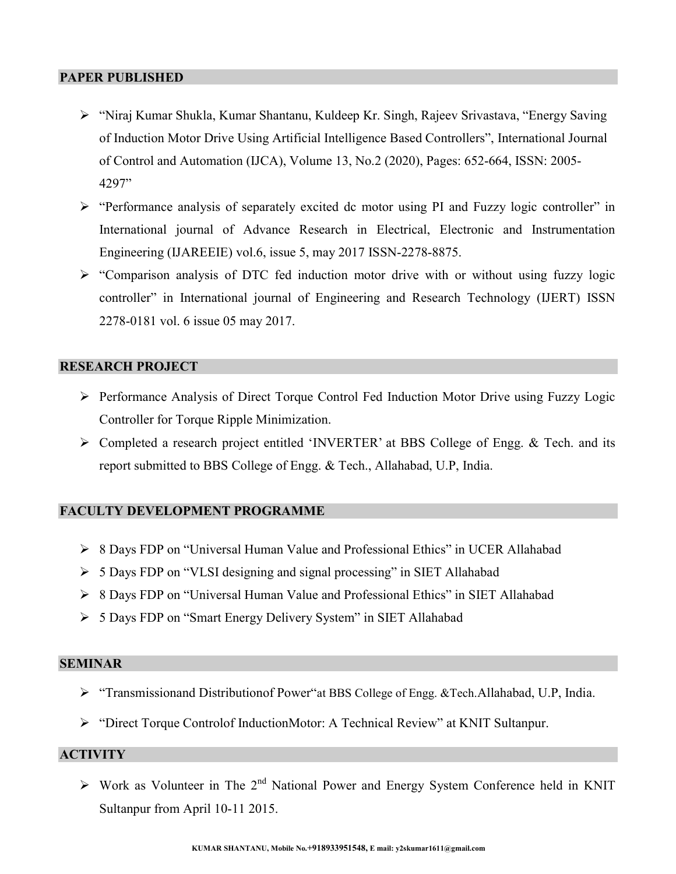#### PAPER PUBLISHED

- "Niraj Kumar Shukla, Kumar Shantanu, Kuldeep Kr. Singh, Rajeev Srivastava, "Energy Saving of Induction Motor Drive Using Artificial Intelligence Based Controllers", International Journal of Control and Automation (IJCA), Volume 13, No.2 (2020), Pages: 652-664, ISSN: 2005- 4297"
- $\triangleright$  "Performance analysis of separately excited dc motor using PI and Fuzzy logic controller" in International journal of Advance Research in Electrical, Electronic and Instrumentation Engineering (IJAREEIE) vol.6, issue 5, may 2017 ISSN-2278-8875.
- $\triangleright$  "Comparison analysis of DTC fed induction motor drive with or without using fuzzy logic controller" in International journal of Engineering and Research Technology (IJERT) ISSN 2278-0181 vol. 6 issue 05 may 2017.

### RESEARCH PROJECT

- Performance Analysis of Direct Torque Control Fed Induction Motor Drive using Fuzzy Logic Controller for Torque Ripple Minimization.
- Completed a research project entitled 'INVERTER' at BBS College of Engg. & Tech. and its report submitted to BBS College of Engg. & Tech., Allahabad, U.P, India.

### FACULTY DEVELOPMENT PROGRAMME

- 8 Days FDP on "Universal Human Value and Professional Ethics" in UCER Allahabad
- $\triangleright$  5 Days FDP on "VLSI designing and signal processing" in SIET Allahabad
- 8 Days FDP on "Universal Human Value and Professional Ethics" in SIET Allahabad
- 5 Days FDP on "Smart Energy Delivery System" in SIET Allahabad

#### SEMINAR

- "Transmissionand Distributionof Power"at BBS College of Engg. &Tech.Allahabad, U.P, India.
- "Direct Torque Controlof InductionMotor: A Technical Review" at KNIT Sultanpur.

# **ACTIVITY**

 $\triangleright$  Work as Volunteer in The 2<sup>nd</sup> National Power and Energy System Conference held in KNIT Sultanpur from April 10-11 2015.